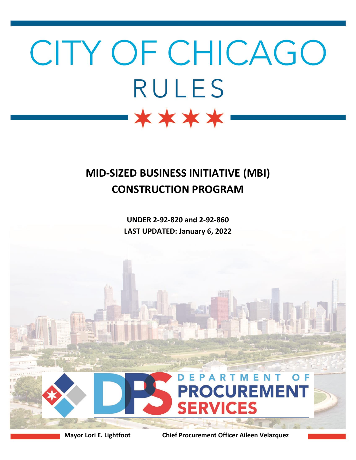# CITY OF CHICAGO **RULES** \*\*\*\*

# **MID-SIZED BUSINESS INITIATIVE (MBI) CONSTRUCTION PROGRAM**

**UNDER 2-92-820 and 2-92-860 LAST UPDATED: January 6, 2022**



**Mayor Lori E. Lightfoot Chief Procurement Officer Aileen Velazquez**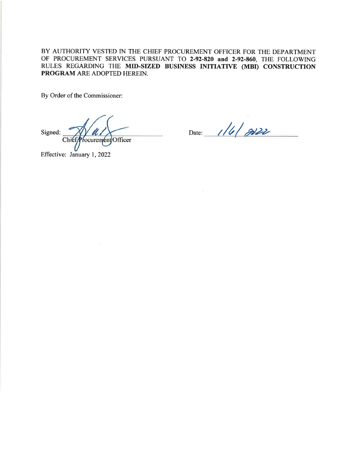BY AUTHORITY VESTED IN THE CHIEF PROCUREMENT OFFICER FOR THE DEPARTMENT OF PROCUREMENT SERVICES PURSUANT TO 2-92-820 and 2-92-860, THE FOLLOWING RULES REGARDING THE MID-SIZED BUSINESS INITIATIVE (MBI) CONSTRUCTION PROGRAM ARE ADOPTED HEREIN.

By Order of the Commissioner:

Signed: Chief/Procurement Officer

Date: 1/6/2022

Effective: January 1, 2022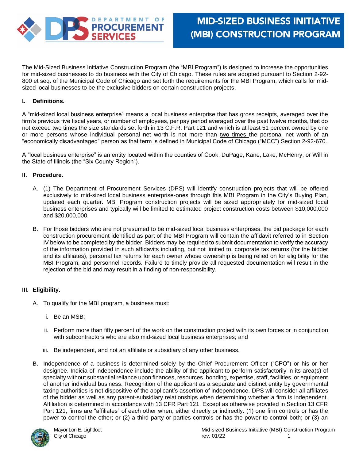

The Mid-Sized Business Initiative Construction Program (the "MBI Program") is designed to increase the opportunities for mid-sized businesses to do business with the City of Chicago. These rules are adopted pursuant to Section 2-92- 800 et seq. of the Municipal Code of Chicago and set forth the requirements for the MBI Program, which calls for midsized local businesses to be the exclusive bidders on certain construction projects.

# **I.. Definitions.**

A "mid-sized local business enterprise" means a local business enterprise that has gross receipts, averaged over the firm's previous five fiscal years, or number of employees, per pay period averaged over the past twelve months, that do not exceed two times the size standards set forth in 13 C.F.R. Part 121 and which is at least 51 percent owned by one or more persons whose individual personal net worth is not more than two times the personal net worth of an "economically disadvantaged" person as that term is defined in Municipal Code of Chicago ("MCC") Section 2-92-670.

A "local business enterprise" is an entity located within the counties of Cook, DuPage, Kane, Lake, McHenry, or Will in the State of Illinois (the "Six County Region").

#### **II. Procedure.**

- A. (1) The Department of Procurement Services (DPS) will identify construction projects that will be offered exclusively to mid-sized local business enterprise-ones through this MBI Program in the City's Buying Plan, updated each quarter. MBI Program construction projects will be sized appropriately for mid-sized local business enterprises and typically will be limited to estimated project construction costs between \$10,000,000 and \$20,000,000.
- B. For those bidders who are not presumed to be mid-sized local business enterprises, the bid package for each construction procurement identified as part of the MBI Program will contain the affidavit referred to in Section IV below to be completed by the bidder. Bidders may be required to submit documentation to verify the accuracy of the information provided in such affidavits including, but not limited to, corporate tax returns (for the bidder and its affiliates), personal tax returns for each owner whose ownership is being relied on for eligibility for the MBI Program, and personnel records. Failure to timely provide all requested documentation will result in the rejection of the bid and may result in a finding of non-responsibility.

## **III. Eligibility.**

- A. To qualify for the MBI program, a business must:
	- i. Be an MSB;
	- ii. Perform more than fifty percent of the work on the construction project with its own forces or in conjunction with subcontractors who are also mid-sized local business enterprises; and
	- iii. Be independent, and not an affiliate or subsidiary of any other business.
- B. Independence of a business is determined solely by the Chief Procurement Officer ("CPO") or his or her designee. Indicia of independence include the ability of the applicant to perform satisfactorily in its area(s) of specialty without substantial reliance upon finances, resources, bonding, expertise, staff, facilities, or equipment of another individual business. Recognition of the applicant as a separate and distinct entity by governmental taxing authorities is not dispositive of the applicant's assertion of independence. DPS will consider all affiliates of the bidder as well as any parent-subsidiary relationships when determining whether a firm is independent. Affiliation is determined in accordance with 13 CFR Part 121. Except as otherwise provided in Section 13 CFR Part 121, firms are "affiliates" of each other when, either directly or indirectly: (1) one firm controls or has the power to control the other; or (2) a third party or parties controls or has the power to control both; or (3) an

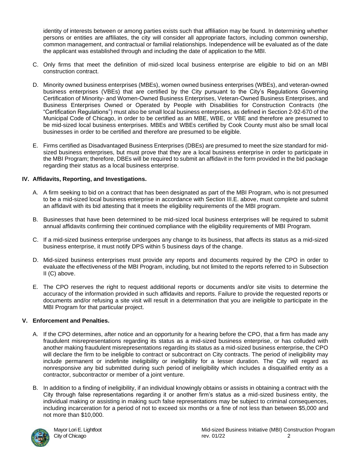identity of interests between or among parties exists such that affiliation may be found. In determining whether persons or entities are affiliates, the city will consider all appropriate factors, including common ownership, common management, and contractual or familial relationships. Independence will be evaluated as of the date the applicant was established through and including the date of application to the MBI.

- C. Only firms that meet the definition of mid-sized local business enterprise are eligible to bid on an MBI construction contract.
- D. Minority owned business enterprises (MBEs), women owned business enterprises (WBEs), and veteran-owned business enterprises (VBEs) that are certified by the City pursuant to the City's Regulations Governing Certification of Minority- and Women-Owned Business Enterprises, Veteran-Owned Business Enterprises, and Business Enterprises Owned or Operated by People with Disabilities for Construction Contracts (the "Certification Regulations") must also be small local business enterprises, as defined in Section 2-92-670 of the Municipal Code of Chicago, in order to be certified as an MBE, WBE, or VBE and therefore are presumed to be mid-sized local business enterprises. MBEs and WBEs certified by Cook County must also be small local businesses in order to be certified and therefore are presumed to be eligible.
- E. Firms certified as Disadvantaged Business Enterprises (DBEs) are presumed to meet the size standard for midsized business enterprises, but must prove that they are a local business enterprise in order to participate in the MBI Program; therefore, DBEs will be required to submit an affidavit in the form provided in the bid package regarding their status as a local business enterprise.

# **IV. Affidavits, Reporting, and Investigations.**

- A. A firm seeking to bid on a contract that has been designated as part of the MBI Program, who is not presumed to be a mid-sized local business enterprise in accordance with Section III.E. above, must complete and submit an affidavit with its bid attesting that it meets the eligibility requirements of the MBI program.
- B. Businesses that have been determined to be mid-sized local business enterprises will be required to submit annual affidavits confirming their continued compliance with the eligibility requirements of MBI Program.
- C. If a mid-sized business enterprise undergoes any change to its business, that affects its status as a mid-sized business enterprise, it must notify DPS within 5 business days of the change.
- D. Mid-sized business enterprises must provide any reports and documents required by the CPO in order to evaluate the effectiveness of the MBI Program, including, but not limited to the reports referred to in Subsection II (C) above.
- E. The CPO reserves the right to request additional reports or documents and/or site visits to determine the accuracy of the information provided in such affidavits and reports. Failure to provide the requested reports or documents and/or refusing a site visit will result in a determination that you are ineligible to participate in the MBI Program for that particular project.

## **V. Enforcement and Penalties.**

- A. If the CPO determines, after notice and an opportunity for a hearing before the CPO, that a firm has made any fraudulent misrepresentations regarding its status as a mid-sized business enterprise, or has colluded with another making fraudulent misrepresentations regarding its status as a mid-sized business enterprise, the CPO will declare the firm to be ineligible to contract or subcontract on City contracts. The period of ineligibility may include permanent or indefinite ineligibility or ineligibility for a lesser duration. The City will regard as nonresponsive any bid submitted during such period of ineligibility which includes a disqualified entity as a contractor, subcontractor or member of a joint venture.
- B. In addition to a finding of ineligibility, if an individual knowingly obtains or assists in obtaining a contract with the City through false representations regarding it or another firm's status as a mid-sized business entity, the individual making or assisting in making such false representations may be subject to criminal consequences, including incarceration for a period of not to exceed six months or a fine of not less than between \$5,000 and not more than \$10,000.